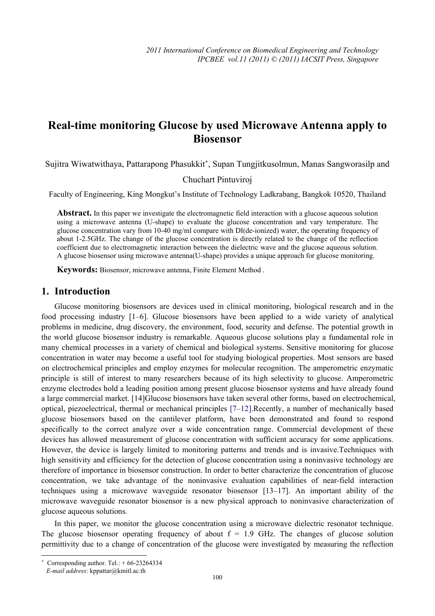# **Real-time monitoring Glucose by used Microwave Antenna apply to Biosensor**

Sujitra Wiwatwithaya, Pattarapong Phasukkit<sup>+</sup>, Supan Tungjitkusolmun, Manas Sangworasilp and

Chuchart Pintuviroj

Faculty of Engineering, King Mongkut's Institute of Technology Ladkrabang, Bangkok 10520, Thailand

**Abstract.** In this paper we investigate the electromagnetic field interaction with a glucose aqueous solution using a microwave antenna (U-shape) to evaluate the glucose concentration and vary temperature. The glucose concentration vary from 10-40 mg/ml compare with DI(de-ionized) water, the operating frequency of about 1-2.5GHz. The change of the glucose concentration is directly related to the change of the reflection coefficient due to electromagnetic interaction between the dielectric wave and the glucose aqueous solution. A glucose biosensor using microwave antenna(U-shape) provides a unique approach for glucose monitoring.

**Keywords:** Biosensor, microwave antenna, Finite Element Method .

#### **1. Introduction**

Glucose monitoring biosensors are devices used in clinical monitoring, biological research and in the food processing industry [1–6]. Glucose biosensors have been applied to a wide variety of analytical problems in medicine, drug discovery, the environment, food, security and defense. The potential growth in the world glucose biosensor industry is remarkable. Aqueous glucose solutions play a fundamental role in many chemical processes in a variety of chemical and biological systems. Sensitive monitoring for glucose concentration in water may become a useful tool for studying biological properties. Most sensors are based on electrochemical principles and employ enzymes for molecular recognition. The amperometric enzymatic principle is still of interest to many researchers because of its high selectivity to glucose. Amperometric enzyme electrodes hold a leading position among present glucose biosensor systems and have already found a large commercial market. [14]Glucose biosensors have taken several other forms, based on electrochemical, optical, piezoelectrical, thermal or mechanical principles [7–12].Recently, a number of mechanically based glucose biosensors based on the cantilever platform, have been demonstrated and found to respond specifically to the correct analyze over a wide concentration range. Commercial development of these devices has allowed measurement of glucose concentration with sufficient accuracy for some applications. However, the device is largely limited to monitoring patterns and trends and is invasive.Techniques with high sensitivity and efficiency for the detection of glucose concentration using a noninvasive technology are therefore of importance in biosensor construction. In order to better characterize the concentration of glucose concentration, we take advantage of the noninvasive evaluation capabilities of near-field interaction techniques using a microwave waveguide resonator biosensor [13–17]. An important ability of the microwave waveguide resonator biosensor is a new physical approach to noninvasive characterization of glucose aqueous solutions.

In this paper, we monitor the glucose concentration using a microwave dielectric resonator technique. The glucose biosensor operating frequency of about  $f = 1.9$  GHz. The changes of glucose solution permittivity due to a change of concentration of the glucose were investigated by measuring the reflection

 $\overline{\phantom{a}}$ 

<sup>+</sup> Corresponding author. Tel.:  $+66-23264334$ 

*E-mail address*: kppattar@kmitl.ac.th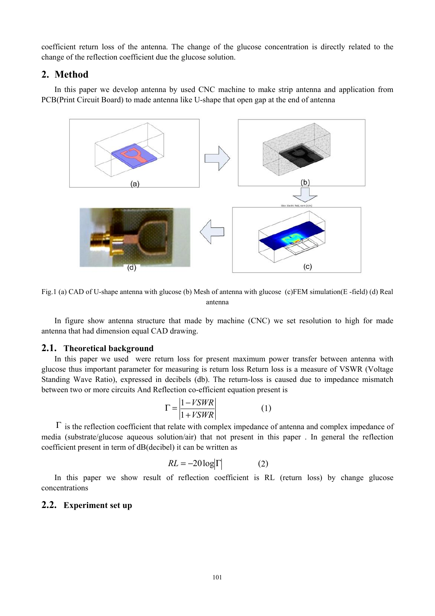coefficient return loss of the antenna. The change of the glucose concentration is directly related to the change of the reflection coefficient due the glucose solution.

### **2. Method**

In this paper we develop antenna by used CNC machine to make strip antenna and application from PCB(Print Circuit Board) to made antenna like U-shape that open gap at the end of antenna



Fig.1 (a) CAD of U-shape antenna with glucose (b) Mesh of antenna with glucose (c)FEM simulation(E -field) (d) Real antenna

In figure show antenna structure that made by machine (CNC) we set resolution to high for made antenna that had dimension equal CAD drawing.

## **2.1. Theoretical background**

In this paper we used were return loss for present maximum power transfer between antenna with glucose thus important parameter for measuring is return loss Return loss is a measure of VSWR (Voltage Standing Wave Ratio), expressed in decibels (db). The return-loss is caused due to impedance mismatch between two or more circuits And Reflection co-efficient equation present is

$$
\Gamma = \left| \frac{1 - VSWR}{1 + VSWR} \right| \tag{1}
$$

 $\Gamma$  is the reflection coefficient that relate with complex impedance of antenna and complex impedance of media (substrate/glucose aqueous solution/air) that not present in this paper . In general the reflection coefficient present in term of dB(decibel) it can be written as

$$
RL = -20\log|\Gamma| \tag{2}
$$

In this paper we show result of reflection coefficient is RL (return loss) by change glucose concentrations

# **2.2. Experiment set up**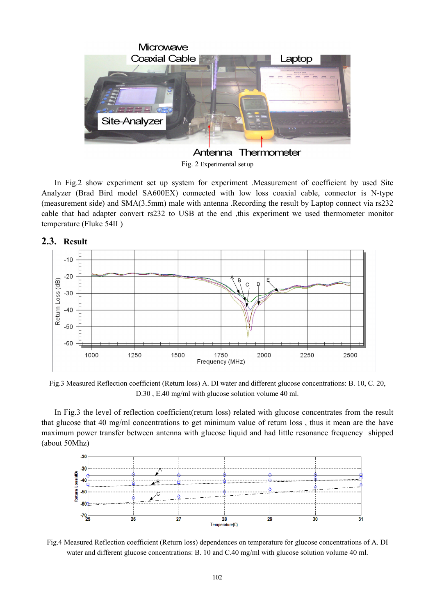

Fig. 2 Experimental set up

In Fig.2 show experiment set up system for experiment .Measurement of coefficient by used Site Analyzer (Brad Bird model SA600EX) connected with low loss coaxial cable, connector is N-type (measurement side) and SMA(3.5mm) male with antenna .Recording the result by Laptop connect via rs232 cable that had adapter convert rs232 to USB at the end , this experiment we used thermometer monitor temperature (Fluke 54II )

**2.3. Result** 



Fig.3 Measured Reflection coefficient (Return loss) A. DI water and different glucose concentrations: B. 10, C. 20, D.30 , E.40 mg/ml with glucose solution volume 40 ml.

In Fig.3 the level of reflection coefficient(return loss) related with glucose concentrates from the result that glucose that 40 mg/ml concentrations to get minimum value of return loss , thus it mean are the have maximum power transfer between antenna with glucose liquid and had little resonance frequency shipped (about 50Mhz)



Fig.4 Measured Reflection coefficient (Return loss) dependences on temperature for glucose concentrations of A. DI water and different glucose concentrations: B. 10 and C.40 mg/ml with glucose solution volume 40 ml.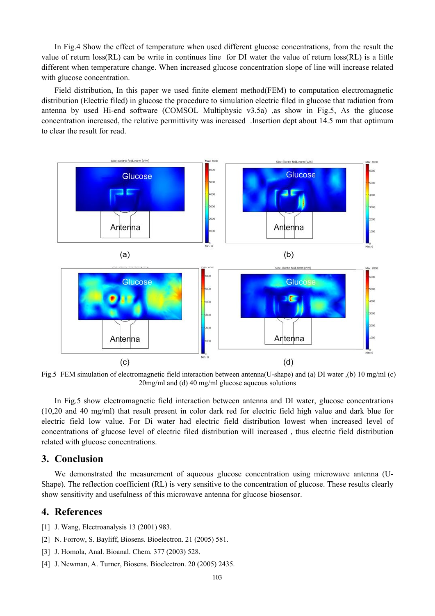In Fig.4 Show the effect of temperature when used different glucose concentrations, from the result the value of return loss(RL) can be write in continues line for DI water the value of return loss(RL) is a little different when temperature change. When increased glucose concentration slope of line will increase related with glucose concentration.

Field distribution, In this paper we used finite element method(FEM) to computation electromagnetic distribution (Electric filed) in glucose the procedure to simulation electric filed in glucose that radiation from antenna by used Hi-end software (COMSOL Multiphysic v3.5a) ,as show in Fig.5, As the glucose concentration increased, the relative permittivity was increased .Insertion dept about 14.5 mm that optimum to clear the result for read.



Fig.5 FEM simulation of electromagnetic field interaction between antenna(U-shape) and (a) DI water ,(b) 10 mg/ml (c) 20mg/ml and (d) 40 mg/ml glucose aqueous solutions

In Fig.5 show electromagnetic field interaction between antenna and DI water, glucose concentrations (10,20 and 40 mg/ml) that result present in color dark red for electric field high value and dark blue for electric field low value. For Di water had electric field distribution lowest when increased level of concentrations of glucose level of electric filed distribution will increased , thus electric field distribution related with glucose concentrations.

#### **3. Conclusion**

We demonstrated the measurement of aqueous glucose concentration using microwave antenna (U-Shape). The reflection coefficient (RL) is very sensitive to the concentration of glucose. These results clearly show sensitivity and usefulness of this microwave antenna for glucose biosensor.

### **4. References**

- [1] J. Wang, Electroanalysis 13 (2001) 983.
- [2] N. Forrow, S. Bayliff, Biosens. Bioelectron. 21 (2005) 581.
- [3] J. Homola, Anal. Bioanal. Chem. 377 (2003) 528.
- [4] J. Newman, A. Turner, Biosens. Bioelectron. 20 (2005) 2435.